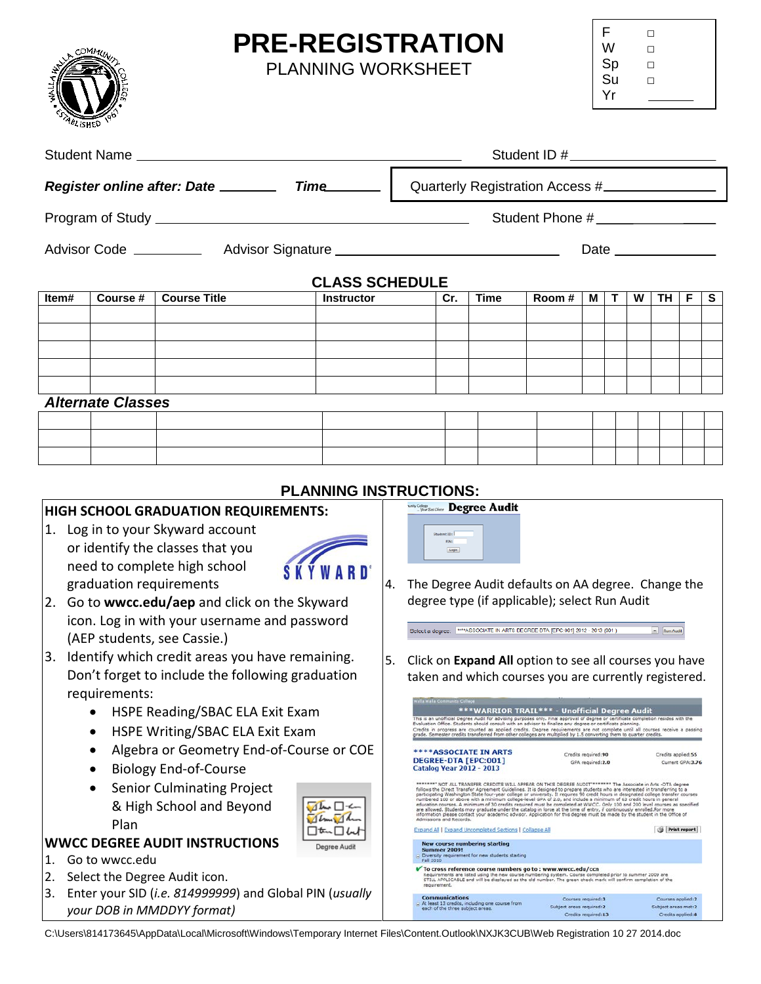## **PRE-REGISTRATION**

PLANNING WORKSHEET



| F  | п |
|----|---|
| W  | п |
| Sp | п |
| Su | п |
| Yr |   |

Print report

Courses applied:2

Credits applied: 8

|                                                                                                                 |                          |                                   |                   |                                 | Student ID # _____________________                                                                                                                                                                                                                                                                                                                                                                                                                                                                                                                                                                                                              |                         |                                                                                         |                                                                                                                                                                                                                                                                                                                                                                   |                                          |   |   |                    |                  |    |
|-----------------------------------------------------------------------------------------------------------------|--------------------------|-----------------------------------|-------------------|---------------------------------|-------------------------------------------------------------------------------------------------------------------------------------------------------------------------------------------------------------------------------------------------------------------------------------------------------------------------------------------------------------------------------------------------------------------------------------------------------------------------------------------------------------------------------------------------------------------------------------------------------------------------------------------------|-------------------------|-----------------------------------------------------------------------------------------|-------------------------------------------------------------------------------------------------------------------------------------------------------------------------------------------------------------------------------------------------------------------------------------------------------------------------------------------------------------------|------------------------------------------|---|---|--------------------|------------------|----|
|                                                                                                                 |                          |                                   |                   | Quarterly Registration Access # |                                                                                                                                                                                                                                                                                                                                                                                                                                                                                                                                                                                                                                                 |                         |                                                                                         |                                                                                                                                                                                                                                                                                                                                                                   |                                          |   |   |                    |                  |    |
|                                                                                                                 |                          |                                   |                   |                                 | Student Phone #                                                                                                                                                                                                                                                                                                                                                                                                                                                                                                                                                                                                                                 |                         |                                                                                         |                                                                                                                                                                                                                                                                                                                                                                   |                                          |   |   |                    |                  |    |
| Advisor Code ______________ Advisor Signature __________________________________                                |                          |                                   |                   |                                 | Date _______________                                                                                                                                                                                                                                                                                                                                                                                                                                                                                                                                                                                                                            |                         |                                                                                         |                                                                                                                                                                                                                                                                                                                                                                   |                                          |   |   |                    |                  |    |
|                                                                                                                 |                          |                                   |                   |                                 | <b>CLASS SCHEDULE</b>                                                                                                                                                                                                                                                                                                                                                                                                                                                                                                                                                                                                                           |                         |                                                                                         |                                                                                                                                                                                                                                                                                                                                                                   |                                          |   |   |                    |                  |    |
| Item#                                                                                                           | Course #                 | <b>Course Title</b>               | <b>Instructor</b> |                                 |                                                                                                                                                                                                                                                                                                                                                                                                                                                                                                                                                                                                                                                 | Cr.                     | <b>Time</b>                                                                             | Room#                                                                                                                                                                                                                                                                                                                                                             | M                                        | Т | W | TH                 | F                | S. |
|                                                                                                                 |                          |                                   |                   |                                 |                                                                                                                                                                                                                                                                                                                                                                                                                                                                                                                                                                                                                                                 |                         |                                                                                         |                                                                                                                                                                                                                                                                                                                                                                   |                                          |   |   |                    |                  |    |
|                                                                                                                 |                          |                                   |                   |                                 |                                                                                                                                                                                                                                                                                                                                                                                                                                                                                                                                                                                                                                                 |                         |                                                                                         |                                                                                                                                                                                                                                                                                                                                                                   |                                          |   |   |                    |                  |    |
|                                                                                                                 |                          |                                   |                   |                                 |                                                                                                                                                                                                                                                                                                                                                                                                                                                                                                                                                                                                                                                 |                         |                                                                                         |                                                                                                                                                                                                                                                                                                                                                                   |                                          |   |   |                    |                  |    |
|                                                                                                                 |                          |                                   |                   |                                 |                                                                                                                                                                                                                                                                                                                                                                                                                                                                                                                                                                                                                                                 |                         |                                                                                         |                                                                                                                                                                                                                                                                                                                                                                   |                                          |   |   |                    |                  |    |
|                                                                                                                 |                          |                                   |                   |                                 |                                                                                                                                                                                                                                                                                                                                                                                                                                                                                                                                                                                                                                                 |                         |                                                                                         |                                                                                                                                                                                                                                                                                                                                                                   |                                          |   |   |                    |                  |    |
|                                                                                                                 | <b>Alternate Classes</b> |                                   |                   |                                 |                                                                                                                                                                                                                                                                                                                                                                                                                                                                                                                                                                                                                                                 |                         |                                                                                         |                                                                                                                                                                                                                                                                                                                                                                   |                                          |   |   |                    |                  |    |
|                                                                                                                 |                          |                                   |                   |                                 |                                                                                                                                                                                                                                                                                                                                                                                                                                                                                                                                                                                                                                                 |                         |                                                                                         |                                                                                                                                                                                                                                                                                                                                                                   |                                          |   |   |                    |                  |    |
|                                                                                                                 |                          |                                   |                   |                                 |                                                                                                                                                                                                                                                                                                                                                                                                                                                                                                                                                                                                                                                 |                         |                                                                                         |                                                                                                                                                                                                                                                                                                                                                                   |                                          |   |   |                    |                  |    |
|                                                                                                                 |                          |                                   |                   |                                 |                                                                                                                                                                                                                                                                                                                                                                                                                                                                                                                                                                                                                                                 |                         |                                                                                         |                                                                                                                                                                                                                                                                                                                                                                   |                                          |   |   |                    |                  |    |
|                                                                                                                 |                          |                                   |                   |                                 |                                                                                                                                                                                                                                                                                                                                                                                                                                                                                                                                                                                                                                                 |                         |                                                                                         |                                                                                                                                                                                                                                                                                                                                                                   |                                          |   |   |                    |                  |    |
| <b>PLANNING INSTRUCTIONS:</b><br>HIGH SCHOOL GRADUATION REQUIREMENTS:                                           |                          |                                   |                   |                                 |                                                                                                                                                                                                                                                                                                                                                                                                                                                                                                                                                                                                                                                 |                         | <b>Naity College</b> Degree Audit                                                       |                                                                                                                                                                                                                                                                                                                                                                   |                                          |   |   |                    |                  |    |
|                                                                                                                 |                          |                                   |                   |                                 |                                                                                                                                                                                                                                                                                                                                                                                                                                                                                                                                                                                                                                                 |                         |                                                                                         |                                                                                                                                                                                                                                                                                                                                                                   |                                          |   |   |                    |                  |    |
|                                                                                                                 |                          | 1. Log in to your Skyward account |                   |                                 |                                                                                                                                                                                                                                                                                                                                                                                                                                                                                                                                                                                                                                                 |                         |                                                                                         |                                                                                                                                                                                                                                                                                                                                                                   |                                          |   |   |                    |                  |    |
|                                                                                                                 |                          | or identify the classes that you  |                   |                                 |                                                                                                                                                                                                                                                                                                                                                                                                                                                                                                                                                                                                                                                 | Login                   |                                                                                         |                                                                                                                                                                                                                                                                                                                                                                   |                                          |   |   |                    |                  |    |
| need to complete high school                                                                                    |                          |                                   |                   |                                 | 4. The Degree Audit defaults on AA degree. Change the                                                                                                                                                                                                                                                                                                                                                                                                                                                                                                                                                                                           |                         |                                                                                         |                                                                                                                                                                                                                                                                                                                                                                   |                                          |   |   |                    |                  |    |
| graduation requirements<br>2. Go to wwcc.edu/aep and click on the Skyward                                       |                          |                                   |                   |                                 | degree type (if applicable); select Run Audit                                                                                                                                                                                                                                                                                                                                                                                                                                                                                                                                                                                                   |                         |                                                                                         |                                                                                                                                                                                                                                                                                                                                                                   |                                          |   |   |                    |                  |    |
|                                                                                                                 |                          |                                   |                   |                                 |                                                                                                                                                                                                                                                                                                                                                                                                                                                                                                                                                                                                                                                 |                         |                                                                                         |                                                                                                                                                                                                                                                                                                                                                                   |                                          |   |   |                    |                  |    |
| icon. Log in with your username and password<br>(AEP students, see Cassie.)                                     |                          |                                   |                   |                                 | $\overline{P}$ Run Audit<br>Select a degree: www.ASSOCIATE IN ARTS DEGREE-DTA [EPC:001] 2012 - 2013 (001)                                                                                                                                                                                                                                                                                                                                                                                                                                                                                                                                       |                         |                                                                                         |                                                                                                                                                                                                                                                                                                                                                                   |                                          |   |   |                    |                  |    |
| 3. Identify which credit areas you have remaining.<br>5. Click on Expand All option to see all courses you have |                          |                                   |                   |                                 |                                                                                                                                                                                                                                                                                                                                                                                                                                                                                                                                                                                                                                                 |                         |                                                                                         |                                                                                                                                                                                                                                                                                                                                                                   |                                          |   |   |                    |                  |    |
| Don't forget to include the following graduation                                                                |                          |                                   |                   |                                 |                                                                                                                                                                                                                                                                                                                                                                                                                                                                                                                                                                                                                                                 |                         |                                                                                         | taken and which courses you are currently registered.                                                                                                                                                                                                                                                                                                             |                                          |   |   |                    |                  |    |
| requirements:                                                                                                   |                          |                                   |                   |                                 |                                                                                                                                                                                                                                                                                                                                                                                                                                                                                                                                                                                                                                                 |                         |                                                                                         |                                                                                                                                                                                                                                                                                                                                                                   |                                          |   |   |                    |                  |    |
| HSPE Reading/SBAC ELA Exit Exam                                                                                 |                          |                                   |                   |                                 | la Walla Co                                                                                                                                                                                                                                                                                                                                                                                                                                                                                                                                                                                                                                     |                         |                                                                                         | ***WARRIOR TRAIL*** - Unofficial Degree Audit                                                                                                                                                                                                                                                                                                                     |                                          |   |   |                    |                  |    |
| HSPE Writing/SBAC ELA Exit Exam                                                                                 |                          |                                   |                   |                                 |                                                                                                                                                                                                                                                                                                                                                                                                                                                                                                                                                                                                                                                 |                         |                                                                                         | This is an unofficial Degree Audit for advising purposes only. Final approval of degree or certificate completion resides with the<br>Evaluation Office. Students should consult with an advisor to finalize any degree or certif<br>Credits in progress are counted as applied credits. Degree requirements are not complete until all courses receive a passing |                                          |   |   |                    |                  |    |
|                                                                                                                 |                          |                                   |                   |                                 |                                                                                                                                                                                                                                                                                                                                                                                                                                                                                                                                                                                                                                                 |                         |                                                                                         | grade. Semester credits transferred from other colleges are multiplied by 1.5 converting them to quarter credits.                                                                                                                                                                                                                                                 |                                          |   |   |                    |                  |    |
| Algebra or Geometry End-of-Course or COE                                                                        |                          |                                   |                   |                                 |                                                                                                                                                                                                                                                                                                                                                                                                                                                                                                                                                                                                                                                 |                         | <b>****ASSOCIATE IN ARTS</b><br>DEGREE-DTA [EPC:001]<br><b>Catalog Year 2012 - 2013</b> |                                                                                                                                                                                                                                                                                                                                                                   | Credits required:90<br>GPA required: 2.0 |   |   | Credits applied:55 | Current GPA:3.76 |    |
| <b>Biology End-of-Course</b>                                                                                    |                          |                                   |                   |                                 | ******** NOT ALL TRANSFER CREDITS WILL APPEAR ON THIS DEGREE AUDIT******** The Associate in Arts -DTA degree                                                                                                                                                                                                                                                                                                                                                                                                                                                                                                                                    |                         |                                                                                         |                                                                                                                                                                                                                                                                                                                                                                   |                                          |   |   |                    |                  |    |
| <b>Senior Culminating Project</b><br>& High School and Beyond                                                   |                          |                                   |                   |                                 | follows the Direct Transfer Agreement Guidelines. It is designed to prepare students who are interested in transferring to a<br>participating Washington State four-year college or university. It requires 90 credit hours in designated college transfer courses<br>numbered 100 or above with a minimum college-level GPA of 2.0, and include a minimum of 63 credit hours in general<br>education courses. A minimum of 30 credits required must be completed at WWCC. Only 100 and 200 level courses as specified<br>are allowed. Students may graduate under the catalog in force at the time of entry, if continuously enrolled.For more |                         |                                                                                         |                                                                                                                                                                                                                                                                                                                                                                   |                                          |   |   |                    |                  |    |
|                                                                                                                 |                          |                                   |                   |                                 |                                                                                                                                                                                                                                                                                                                                                                                                                                                                                                                                                                                                                                                 | Admissions and Records. |                                                                                         | information please contact your academic advisor. Application for this degree must be made by the student in the Office of                                                                                                                                                                                                                                        |                                          |   |   |                    |                  |    |

• Senior Culminating Project & High School and Beyond Plan

## $\sqrt{4 \ln \frac{1}{4}}$ 口如口ん Degree Audit

## **WWCC DEGREE AUDIT INSTRUCTIONS**

- 1. Go to wwcc.edu
- 2. Select the Degree Audit icon.
- 3. Enter your SID (*i.e. 814999999*) and Global PIN (*usually your DOB in MMDDYY format)*

C:\Users\814173645\AppData\Local\Microsoft\Windows\Temporary Internet Files\Content.Outlook\NXJK3CUB\Web Registration 10 27 2014.doc

Expand All | Expand Uncompleted Sections | Collapse All

.<br>To cross reference course numbers go to : www.wwcc.edu/ccn<br>Requirements are listed using the new course numbering system. Course completed prior to summer 2009 are<br>STILL APPLICABLE and will be displayed as the old number

Courses required:3

Subject areas required:2 Credits required: 13

New course numbering starting<br>Summer 2009!<br>Diversity requirement for new students starting

**Communications**<br>At least 13 credits, including one course from<br>each of the three subject aceas.

Diversity requ<br>Fall 2010